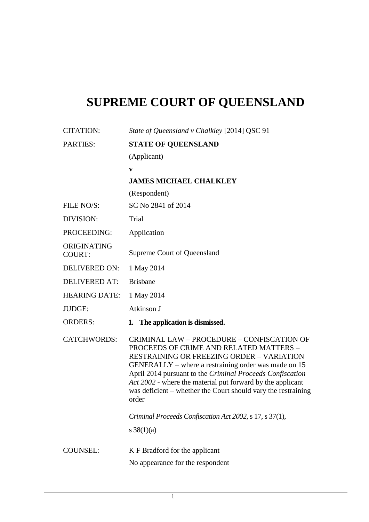## **SUPREME COURT OF QUEENSLAND**

| <b>CITATION:</b>             | State of Queensland v Chalkley [2014] QSC 91                                                                                                                                                                                                                                                                                                                                                                  |
|------------------------------|---------------------------------------------------------------------------------------------------------------------------------------------------------------------------------------------------------------------------------------------------------------------------------------------------------------------------------------------------------------------------------------------------------------|
| <b>PARTIES:</b>              | <b>STATE OF QUEENSLAND</b>                                                                                                                                                                                                                                                                                                                                                                                    |
|                              | (Applicant)                                                                                                                                                                                                                                                                                                                                                                                                   |
|                              | V                                                                                                                                                                                                                                                                                                                                                                                                             |
|                              | <b>JAMES MICHAEL CHALKLEY</b>                                                                                                                                                                                                                                                                                                                                                                                 |
|                              | (Respondent)                                                                                                                                                                                                                                                                                                                                                                                                  |
| FILE NO/S:                   | SC No 2841 of 2014                                                                                                                                                                                                                                                                                                                                                                                            |
| DIVISION:                    | Trial                                                                                                                                                                                                                                                                                                                                                                                                         |
| PROCEEDING:                  | Application                                                                                                                                                                                                                                                                                                                                                                                                   |
| ORIGINATING<br><b>COURT:</b> | Supreme Court of Queensland                                                                                                                                                                                                                                                                                                                                                                                   |
| <b>DELIVERED ON:</b>         | 1 May 2014                                                                                                                                                                                                                                                                                                                                                                                                    |
| <b>DELIVERED AT:</b>         | <b>Brisbane</b>                                                                                                                                                                                                                                                                                                                                                                                               |
| <b>HEARING DATE:</b>         | 1 May 2014                                                                                                                                                                                                                                                                                                                                                                                                    |
| JUDGE:                       | Atkinson J                                                                                                                                                                                                                                                                                                                                                                                                    |
| <b>ORDERS:</b>               | 1. The application is dismissed.                                                                                                                                                                                                                                                                                                                                                                              |
| <b>CATCHWORDS:</b>           | <b>CRIMINAL LAW - PROCEDURE - CONFISCATION OF</b><br>PROCEEDS OF CRIME AND RELATED MATTERS -<br><b>RESTRAINING OR FREEZING ORDER - VARIATION</b><br>GENERALLY – where a restraining order was made on 15<br>April 2014 pursuant to the Criminal Proceeds Confiscation<br>Act 2002 - where the material put forward by the applicant<br>was deficient – whether the Court should vary the restraining<br>order |
|                              | Criminal Proceeds Confiscation Act 2002, s 17, s 37(1),                                                                                                                                                                                                                                                                                                                                                       |
|                              | s $38(1)(a)$                                                                                                                                                                                                                                                                                                                                                                                                  |
| <b>COUNSEL:</b>              | K F Bradford for the applicant                                                                                                                                                                                                                                                                                                                                                                                |
|                              | No appearance for the respondent                                                                                                                                                                                                                                                                                                                                                                              |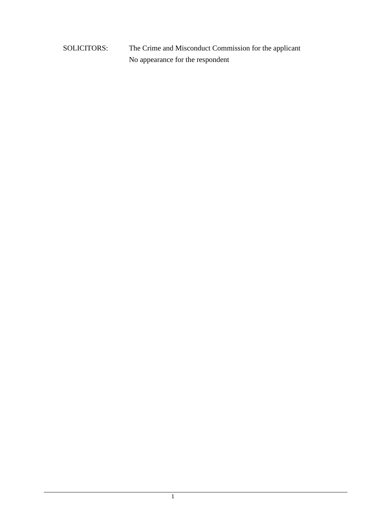SOLICITORS: The Crime and Misconduct Commission for the applicant No appearance for the respondent